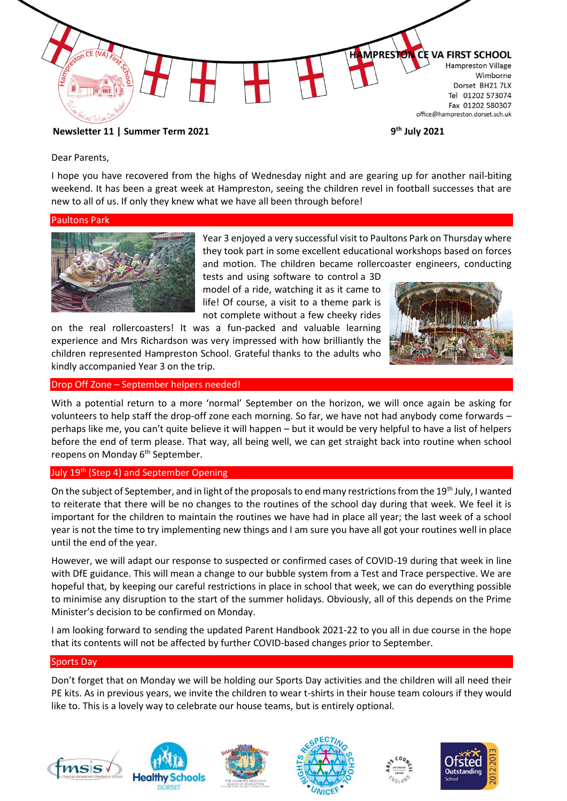

Dear Parents,

I hope you have recovered from the highs of Wednesday night and are gearing up for another nail-biting weekend. It has been a great week at Hampreston, seeing the children revel in football successes that are new to all of us. If only they knew what we have all been through before!

#### Paultons Park



Year 3 enjoyed a very successful visit to Paultons Park on Thursday where they took part in some excellent educational workshops based on forces and motion. The children became rollercoaster engineers, conducting

tests and using software to control a 3D model of a ride, watching it as it came to life! Of course, a visit to a theme park is not complete without a few cheeky rides

on the real rollercoasters! It was a fun-packed and valuable learning experience and Mrs Richardson was very impressed with how brilliantly the children represented Hampreston School. Grateful thanks to the adults who kindly accompanied Year 3 on the trip.



Drop Off Zone – September helpers needed!

With a potential return to a more 'normal' September on the horizon, we will once again be asking for volunteers to help staff the drop-off zone each morning. So far, we have not had anybody come forwards – perhaps like me, you can't quite believe it will happen – but it would be very helpful to have a list of helpers before the end of term please. That way, all being well, we can get straight back into routine when school reopens on Monday 6<sup>th</sup> September.

### July 19<sup>th</sup> (Step 4) and September Opening

On the subject of September, and in light of the proposals to end many restrictions from the 19<sup>th</sup> July, I wanted to reiterate that there will be no changes to the routines of the school day during that week. We feel it is important for the children to maintain the routines we have had in place all year; the last week of a school year is not the time to try implementing new things and I am sure you have all got your routines well in place until the end of the year.

However, we will adapt our response to suspected or confirmed cases of COVID-19 during that week in line with DfE guidance. This will mean a change to our bubble system from a Test and Trace perspective. We are hopeful that, by keeping our careful restrictions in place in school that week, we can do everything possible to minimise any disruption to the start of the summer holidays. Obviously, all of this depends on the Prime Minister's decision to be confirmed on Monday.

I am looking forward to sending the updated Parent Handbook 2021-22 to you all in due course in the hope that its contents will not be affected by further COVID-based changes prior to September.

### Sports Day

Don't forget that on Monday we will be holding our Sports Day activities and the children will all need their PE kits. As in previous years, we invite the children to wear t-shirts in their house team colours if they would like to. This is a lovely way to celebrate our house teams, but is entirely optional.











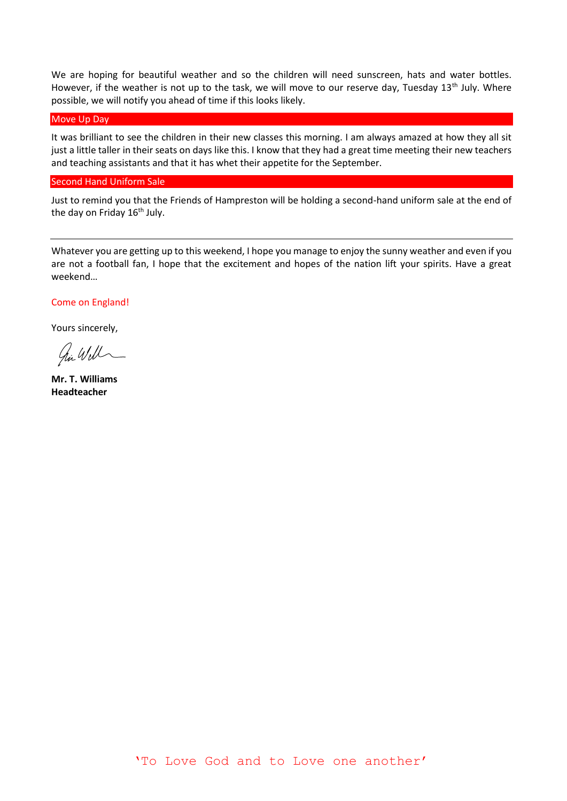We are hoping for beautiful weather and so the children will need sunscreen, hats and water bottles. However, if the weather is not up to the task, we will move to our reserve day, Tuesday 13<sup>th</sup> July. Where possible, we will notify you ahead of time if this looks likely.

### Move Up Day

It was brilliant to see the children in their new classes this morning. I am always amazed at how they all sit just a little taller in their seats on days like this. I know that they had a great time meeting their new teachers and teaching assistants and that it has whet their appetite for the September.

#### Second Hand Uniform Sale

Just to remind you that the Friends of Hampreston will be holding a second-hand uniform sale at the end of the day on Friday 16<sup>th</sup> July.

Whatever you are getting up to this weekend, I hope you manage to enjoy the sunny weather and even if you are not a football fan, I hope that the excitement and hopes of the nation lift your spirits. Have a great weekend…

# Come on England!

Yours sincerely,

hi Will

**Mr. T. Williams Headteacher**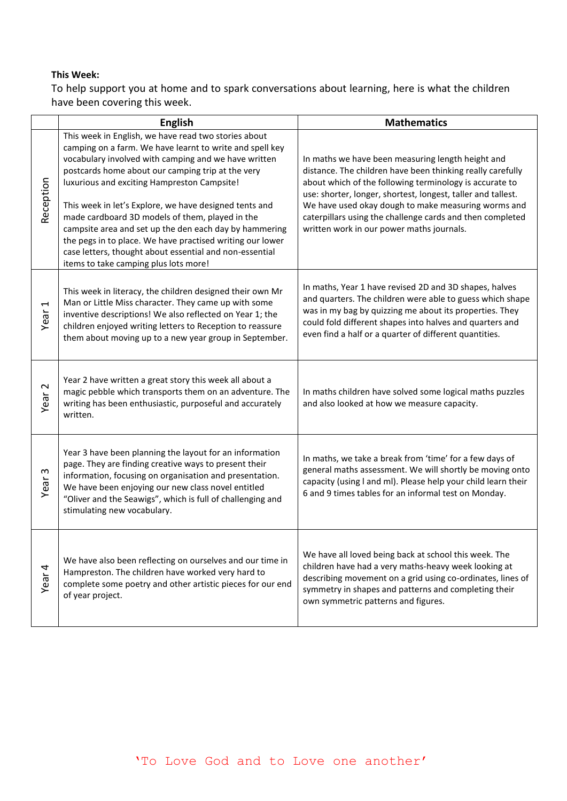# **This Week:**

To help support you at home and to spark conversations about learning, here is what the children have been covering this week.

|                         | English                                                                                                                                                                                                                                                                                                                                                                                                                                                                                                                                                                                                              | <b>Mathematics</b>                                                                                                                                                                                                                                                                                                                                                                                          |
|-------------------------|----------------------------------------------------------------------------------------------------------------------------------------------------------------------------------------------------------------------------------------------------------------------------------------------------------------------------------------------------------------------------------------------------------------------------------------------------------------------------------------------------------------------------------------------------------------------------------------------------------------------|-------------------------------------------------------------------------------------------------------------------------------------------------------------------------------------------------------------------------------------------------------------------------------------------------------------------------------------------------------------------------------------------------------------|
| Reception               | This week in English, we have read two stories about<br>camping on a farm. We have learnt to write and spell key<br>vocabulary involved with camping and we have written<br>postcards home about our camping trip at the very<br>luxurious and exciting Hampreston Campsite!<br>This week in let's Explore, we have designed tents and<br>made cardboard 3D models of them, played in the<br>campsite area and set up the den each day by hammering<br>the pegs in to place. We have practised writing our lower<br>case letters, thought about essential and non-essential<br>items to take camping plus lots more! | In maths we have been measuring length height and<br>distance. The children have been thinking really carefully<br>about which of the following terminology is accurate to<br>use: shorter, longer, shortest, longest, taller and tallest.<br>We have used okay dough to make measuring worms and<br>caterpillars using the challenge cards and then completed<br>written work in our power maths journals. |
| Ţ<br>Year               | This week in literacy, the children designed their own Mr<br>Man or Little Miss character. They came up with some<br>inventive descriptions! We also reflected on Year 1; the<br>children enjoyed writing letters to Reception to reassure<br>them about moving up to a new year group in September.                                                                                                                                                                                                                                                                                                                 | In maths, Year 1 have revised 2D and 3D shapes, halves<br>and quarters. The children were able to guess which shape<br>was in my bag by quizzing me about its properties. They<br>could fold different shapes into halves and quarters and<br>even find a half or a quarter of different quantities.                                                                                                        |
| $\mathbf{\sim}$<br>Year | Year 2 have written a great story this week all about a<br>magic pebble which transports them on an adventure. The<br>writing has been enthusiastic, purposeful and accurately<br>written.                                                                                                                                                                                                                                                                                                                                                                                                                           | In maths children have solved some logical maths puzzles<br>and also looked at how we measure capacity.                                                                                                                                                                                                                                                                                                     |
| w<br>Year               | Year 3 have been planning the layout for an information<br>page. They are finding creative ways to present their<br>information, focusing on organisation and presentation.<br>We have been enjoying our new class novel entitled<br>"Oliver and the Seawigs", which is full of challenging and<br>stimulating new vocabulary.                                                                                                                                                                                                                                                                                       | In maths, we take a break from 'time' for a few days of<br>general maths assessment. We will shortly be moving onto<br>capacity (using I and mI). Please help your child learn their<br>6 and 9 times tables for an informal test on Monday.                                                                                                                                                                |
| Year <sub>4</sub>       | We have also been reflecting on ourselves and our time in<br>Hampreston. The children have worked very hard to<br>complete some poetry and other artistic pieces for our end<br>of year project.                                                                                                                                                                                                                                                                                                                                                                                                                     | We have all loved being back at school this week. The<br>children have had a very maths-heavy week looking at<br>describing movement on a grid using co-ordinates, lines of<br>symmetry in shapes and patterns and completing their<br>own symmetric patterns and figures.                                                                                                                                  |